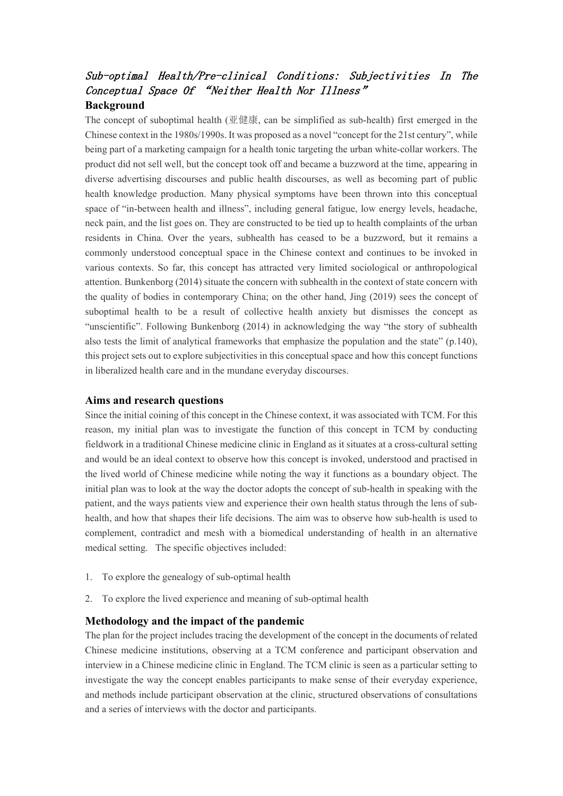# Sub-optimal Health/Pre-clinical Conditions: Subjectivities In The Conceptual Space Of "Neither Health Nor Illness" **Background**

The concept of suboptimal health  $(\Psi \#R)$ , can be simplified as sub-health) first emerged in the Chinese context in the 1980s/1990s. It was proposed as a novel "concept for the 21st century", while being part of a marketing campaign for a health tonic targeting the urban white-collar workers. The product did not sell well, but the concept took off and became a buzzword at the time, appearing in diverse advertising discourses and public health discourses, as well as becoming part of public health knowledge production. Many physical symptoms have been thrown into this conceptual space of "in-between health and illness", including general fatigue, low energy levels, headache, neck pain, and the list goes on. They are constructed to be tied up to health complaints of the urban residents in China. Over the years, subhealth has ceased to be a buzzword, but it remains a commonly understood conceptual space in the Chinese context and continues to be invoked in various contexts. So far, this concept has attracted very limited sociological or anthropological attention. Bunkenborg (2014) situate the concern with subhealth in the context of state concern with the quality of bodies in contemporary China; on the other hand, Jing (2019) sees the concept of suboptimal health to be a result of collective health anxiety but dismisses the concept as "unscientific". Following Bunkenborg (2014) in acknowledging the way "the story of subhealth also tests the limit of analytical frameworks that emphasize the population and the state" (p.140), this project sets out to explore subjectivities in this conceptual space and how this concept functions in liberalized health care and in the mundane everyday discourses.

# **Aims and research questions**

Since the initial coining of this concept in the Chinese context, it was associated with TCM. For this reason, my initial plan was to investigate the function of this concept in TCM by conducting fieldwork in a traditional Chinese medicine clinic in England as it situates at a cross-cultural setting and would be an ideal context to observe how this concept is invoked, understood and practised in the lived world of Chinese medicine while noting the way it functions as a boundary object. The initial plan was to look at the way the doctor adopts the concept of sub-health in speaking with the patient, and the ways patients view and experience their own health status through the lens of subhealth, and how that shapes their life decisions. The aim was to observe how sub-health is used to complement, contradict and mesh with a biomedical understanding of health in an alternative medical setting. The specific objectives included:

- 1. To explore the genealogy of sub-optimal health
- 2. To explore the lived experience and meaning of sub-optimal health

#### **Methodology and the impact of the pandemic**

The plan for the project includes tracing the development of the concept in the documents of related Chinese medicine institutions, observing at a TCM conference and participant observation and interview in a Chinese medicine clinic in England. The TCM clinic is seen as a particular setting to investigate the way the concept enables participants to make sense of their everyday experience, and methods include participant observation at the clinic, structured observations of consultations and a series of interviews with the doctor and participants.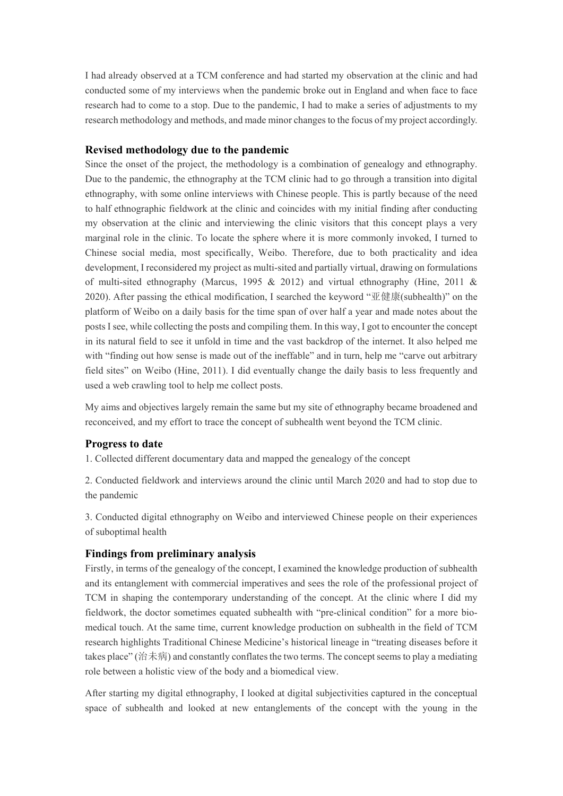I had already observed at a TCM conference and had started my observation at the clinic and had conducted some of my interviews when the pandemic broke out in England and when face to face research had to come to a stop. Due to the pandemic, I had to make a series of adjustments to my research methodology and methods, and made minor changes to the focus of my project accordingly.

# **Revised methodology due to the pandemic**

Since the onset of the project, the methodology is a combination of genealogy and ethnography. Due to the pandemic, the ethnography at the TCM clinic had to go through a transition into digital ethnography, with some online interviews with Chinese people. This is partly because of the need to half ethnographic fieldwork at the clinic and coincides with my initial finding after conducting my observation at the clinic and interviewing the clinic visitors that this concept plays a very marginal role in the clinic. To locate the sphere where it is more commonly invoked, I turned to Chinese social media, most specifically, Weibo. Therefore, due to both practicality and idea development, I reconsidered my project as multi-sited and partially virtual, drawing on formulations of multi-sited ethnography (Marcus, 1995 & 2012) and virtual ethnography (Hine, 2011 & 2020). After passing the ethical modification, I searched the keyword "亚健康(subhealth)" on the platform of Weibo on a daily basis for the time span of over half a year and made notes about the posts I see, while collecting the posts and compiling them. In this way, I got to encounter the concept in its natural field to see it unfold in time and the vast backdrop of the internet. It also helped me with "finding out how sense is made out of the ineffable" and in turn, help me "carve out arbitrary field sites" on Weibo (Hine, 2011). I did eventually change the daily basis to less frequently and used a web crawling tool to help me collect posts.

My aims and objectives largely remain the same but my site of ethnography became broadened and reconceived, and my effort to trace the concept of subhealth went beyond the TCM clinic.

#### **Progress to date**

1. Collected different documentary data and mapped the genealogy of the concept

2. Conducted fieldwork and interviews around the clinic until March 2020 and had to stop due to the pandemic

3. Conducted digital ethnography on Weibo and interviewed Chinese people on their experiences of suboptimal health

## **Findings from preliminary analysis**

Firstly, in terms of the genealogy of the concept, I examined the knowledge production of subhealth and its entanglement with commercial imperatives and sees the role of the professional project of TCM in shaping the contemporary understanding of the concept. At the clinic where I did my fieldwork, the doctor sometimes equated subhealth with "pre-clinical condition" for a more biomedical touch. At the same time, current knowledge production on subhealth in the field of TCM research highlights Traditional Chinese Medicine's historical lineage in "treating diseases before it takes place" (治未病) and constantly conflates the two terms. The concept seems to play a mediating role between a holistic view of the body and a biomedical view.

After starting my digital ethnography, I looked at digital subjectivities captured in the conceptual space of subhealth and looked at new entanglements of the concept with the young in the